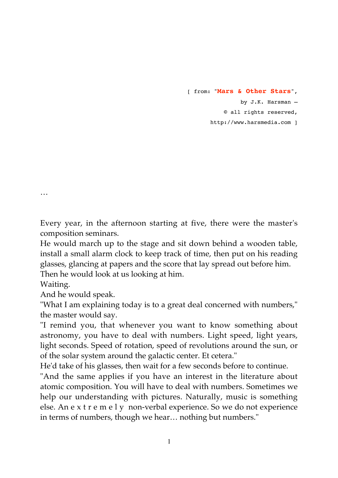[ from: "**Mars & Other Stars**", by J.K. Harsman – © all rights reserved, http://www.harsmedia.com ]

Every year, in the afternoon starting at five, there were the master's composition seminars.

He would march up to the stage and sit down behind a wooden table, install a small alarm clock to keep track of time, then put on his reading glasses, glancing at papers and the score that lay spread out before him. Then he would look at us looking at him.

Waiting.

…

And he would speak.

"What I am explaining today is to a great deal concerned with numbers," the master would say.

"I remind you, that whenever you want to know something about astronomy, you have to deal with numbers. Light speed, light years, light seconds. Speed of rotation, speed of revolutions around the sun, or of the solar system around the galactic center. Et cetera."

He'd take of his glasses, then wait for a few seconds before to continue.

"And the same applies if you have an interest in the literature about atomic composition. You will have to deal with numbers. Sometimes we help our understanding with pictures. Naturally, music is something else. An e x t r e m e l y non-verbal experience. So we do not experience in terms of numbers, though we hear… nothing but numbers."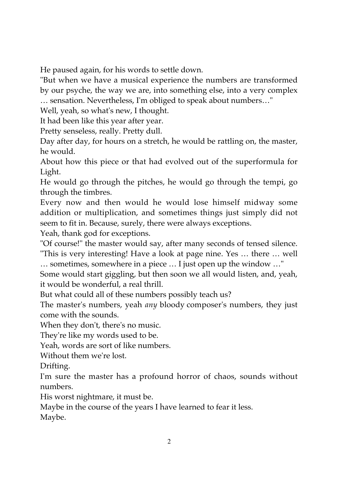He paused again, for his words to settle down.

"But when we have a musical experience the numbers are transformed by our psyche, the way we are, into something else, into a very complex … sensation. Nevertheless, I'm obliged to speak about numbers…"

Well, yeah, so what's new, I thought.

It had been like this year after year.

Pretty senseless, really. Pretty dull.

Day after day, for hours on a stretch, he would be rattling on, the master, he would.

About how this piece or that had evolved out of the superformula for Light.

He would go through the pitches, he would go through the tempi, go through the timbres.

Every now and then would he would lose himself midway some addition or multiplication, and sometimes things just simply did not seem to fit in. Because, surely, there were always exceptions.

Yeah, thank god for exceptions.

"Of course!" the master would say, after many seconds of tensed silence. "This is very interesting! Have a look at page nine. Yes … there … well … sometimes, somewhere in a piece … I just open up the window …"

Some would start giggling, but then soon we all would listen, and, yeah, it would be wonderful, a real thrill.

But what could all of these numbers possibly teach us?

The master's numbers, yeah *any* bloody composer's numbers, they just come with the sounds.

When they don't, there's no music.

They're like my words used to be.

Yeah, words are sort of like numbers.

Without them we're lost.

Drifting.

I'm sure the master has a profound horror of chaos, sounds without numbers.

His worst nightmare, it must be.

Maybe in the course of the years I have learned to fear it less.

Maybe.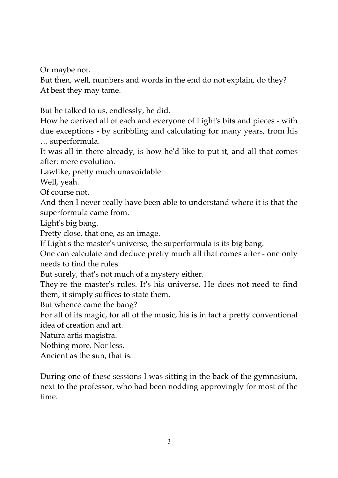Or maybe not.

But then, well, numbers and words in the end do not explain, do they? At best they may tame.

But he talked to us, endlessly, he did.

How he derived all of each and everyone of Light's bits and pieces - with due exceptions - by scribbling and calculating for many years, from his … superformula.

It was all in there already, is how he'd like to put it, and all that comes after: mere evolution.

Lawlike, pretty much unavoidable.

Well, yeah.

Of course not.

And then I never really have been able to understand where it is that the superformula came from.

Light's big bang.

Pretty close, that one, as an image.

If Light's the master's universe, the superformula is its big bang.

One can calculate and deduce pretty much all that comes after - one only needs to find the rules.

But surely, that's not much of a mystery either.

They're the master's rules. It's his universe. He does not need to find them, it simply suffices to state them.

But whence came the bang?

For all of its magic, for all of the music, his is in fact a pretty conventional idea of creation and art.

Natura artis magistra.

Nothing more. Nor less.

Ancient as the sun, that is.

During one of these sessions I was sitting in the back of the gymnasium, next to the professor, who had been nodding approvingly for most of the time.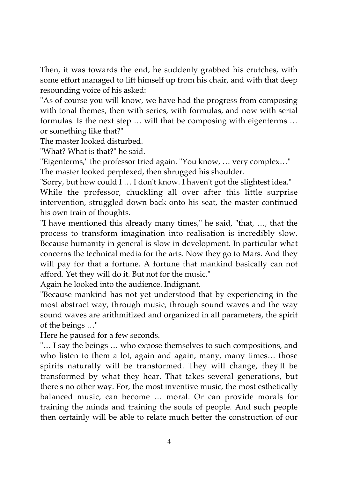Then, it was towards the end, he suddenly grabbed his crutches, with some effort managed to lift himself up from his chair, and with that deep resounding voice of his asked:

"As of course you will know, we have had the progress from composing with tonal themes, then with series, with formulas, and now with serial formulas. Is the next step … will that be composing with eigenterms … or something like that?"

The master looked disturbed.

"What? What is that?" he said.

"Eigenterms," the professor tried again. "You know, … very complex…" The master looked perplexed, then shrugged his shoulder.

"Sorry, but how could I … I don't know. I haven't got the slightest idea."

While the professor, chuckling all over after this little surprise intervention, struggled down back onto his seat, the master continued his own train of thoughts.

"I have mentioned this already many times," he said, "that, …, that the process to transform imagination into realisation is incredibly slow. Because humanity in general is slow in development. In particular what concerns the technical media for the arts. Now they go to Mars. And they will pay for that a fortune. A fortune that mankind basically can not afford. Yet they will do it. But not for the music."

Again he looked into the audience. Indignant.

"Because mankind has not yet understood that by experiencing in the most abstract way, through music, through sound waves and the way sound waves are arithmitized and organized in all parameters, the spirit of the beings …"

Here he paused for a few seconds.

"… I say the beings … who expose themselves to such compositions, and who listen to them a lot, again and again, many, many times… those spirits naturally will be transformed. They will change, they'll be transformed by what they hear. That takes several generations, but there's no other way. For, the most inventive music, the most esthetically balanced music, can become … moral. Or can provide morals for training the minds and training the souls of people. And such people then certainly will be able to relate much better the construction of our